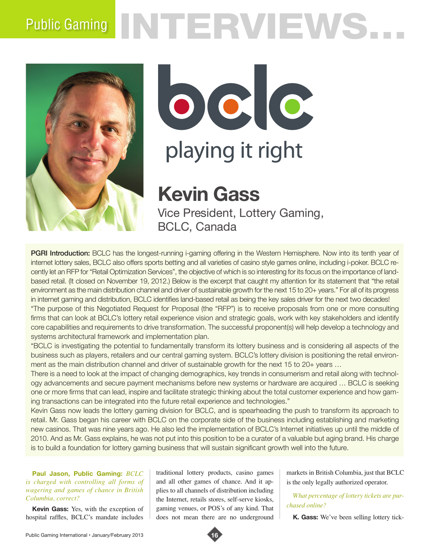# Public Gaming NTERVEWS.



 $\odot$   $\odot$   $\odot$ playing it right

**Kevin Gass** Vice President, Lottery Gaming, BCLC, Canada

PGRI Introduction: BCLC has the longest-running i-gaming offering in the Western Hemisphere. Now into its tenth year of internet lottery sales, BCLC also offers sports betting and all varieties of casino style games online, including i-poker. BCLC recently let an RFP for "Retail Optimization Services", the objective of which is so interesting for its focus on the importance of landbased retail. (It closed on November 19, 2012.) Below is the excerpt that caught my attention for its statement that "the retail environment as the main distribution channel and driver of sustainable growth for the next 15 to 20+ years." For all of its progress in internet gaming and distribution, BCLC identifies land-based retail as being the key sales driver for the next two decades! "The purpose of this Negotiated Request for Proposal (the "RFP") is to receive proposals from one or more consulting firms that can look at BCLC's lottery retail experience vision and strategic goals, work with key stakeholders and identify core capabilities and requirements to drive transformation. The successful proponent(s) will help develop a technology and

systems architectural framework and implementation plan.

"BCLC is investigating the potential to fundamentally transform its lottery business and is considering all aspects of the business such as players, retailers and our central gaming system. BCLC's lottery division is positioning the retail environment as the main distribution channel and driver of sustainable growth for the next 15 to 20+ years ...

There is a need to look at the impact of changing demographics, key trends in consumerism and retail along with technology advancements and secure payment mechanisms before new systems or hardware are acquired … BCLC is seeking one or more firms that can lead, inspire and facilitate strategic thinking about the total customer experience and how gaming transactions can be integrated into the future retail experience and technologies."

Kevin Gass now leads the lottery gaming division for BCLC, and is spearheading the push to transform its approach to retail. Mr. Gass began his career with BCLC on the corporate side of the business including establishing and marketing new casinos. That was nine years ago. He also led the implementation of BCLC's Internet initiatives up until the middle of 2010. And as Mr. Gass explains, he was not put into this position to be a curater of a valuable but aging brand. His charge is to build a foundation for lottery gaming business that will sustain significant growth well into the future.

**Paul Jason, Public Gaming:** *BCLC is charged with controlling all forms of wagering and games of chance in British Columbia, correct?*

**Kevin Gass:** Yes, with the exception of hospital raffles, BCLC's mandate includes traditional lottery products, casino games and all other games of chance. And it applies to all channels of distribution including the Internet, retails stores, self-serve kiosks, gaming venues, or POS's of any kind. That does not mean there are no underground markets in British Columbia, just that BCLC is the only legally authorized operator.

*What percentage of lottery tickets are purchased online?* 

**K. Gass:** We've been selling lottery tick-

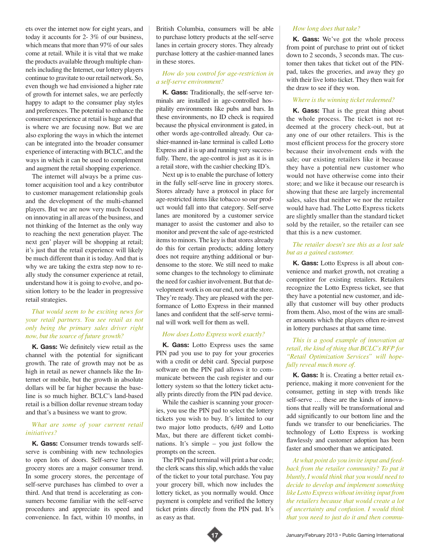ets over the internet now for eight years, and today it accounts for 2- 3% of our business, which means that more than 97% of our sales come at retail. While it is vital that we make the products available through multiple channels including the Internet, our lottery players continue to gravitate to our retail network. So, even though we had envisioned a higher rate of growth for internet sales, we are perfectly happy to adapt to the consumer play styles and preferences. The potential to enhance the consumer experience at retail is huge and that is where we are focusing now. But we are also exploring the ways in which the internet can be integrated into the broader consumer experience of interacting with BCLC, and the ways in which it can be used to complement and augment the retail shopping experience.

The internet will always be a prime customer acquisition tool and a key contributor to customer management relationship goals and the development of the multi-channel players. But we are now very much focused on innovating in all areas of the business, and not thinking of the Internet as the only way to reaching the next generation player. The next gen' player will be shopping at retail; it's just that the retail experience will likely be much different than it is today. And that is why we are taking the extra step now to really study the consumer experience at retail, understand how it is going to evolve, and position lottery to be the leader in progressive retail strategies.

# *That would seem to be exciting news for your retail partners. You see retail as not only being the primary sales driver right now, but the source of future growth?*

**K. Gass:** We definitely view retail as the channel with the potential for significant growth. The rate of growth may not be as high in retail as newer channels like the Internet or mobile, but the growth in absolute dollars will be far higher because the baseline is so much higher. BCLC's land-based retail is a billion dollar revenue stream today and that's a business we want to grow.

## *What are some of your current retail initiatives?*

**K. Gass:** Consumer trends towards selfserve is combining with new technologies to open lots of doors. Self-serve lanes in grocery stores are a major consumer trend. In some grocery stores, the percentage of self-serve purchases has climbed to over a third. And that trend is accelerating as consumers become familiar with the self-serve procedures and appreciate its speed and convenience. In fact, within 10 months, in British Columbia, consumers will be able to purchase lottery products at the self-serve lanes in certain grocery stores. They already purchase lottery at the cashier-manned lanes in these stores.

#### *How do you control for age-restriction in a self-serve environment?*

**K. Gass:** Traditionally, the self-serve terminals are installed in age-controlled hospitality environments like pubs and bars. In these environments, no ID check is required because the physical environment is gated, in other words age-controlled already. Our cashier-manned in-lane terminal is called Lotto Express and it is up and running very successfully. There, the age-control is just as it is in a retail store, with the cashier checking ID's.

Next up is to enable the purchase of lottery in the fully self-serve line in grocery stores. Stores already have a protocol in place for age-restricted items like tobacco so our product would fall into that category. Self-serve lanes are monitored by a customer service manager to assist the customer and also to monitor and prevent the sale of age-restricted items to minors. The key is that stores already do this for certain products; adding lottery does not require anything additional or burdensome to the store. We still need to make some changes to the technology to eliminate the need for cashier involvement. But that development work is on our end, not at the store. They're ready. They are pleased with the performance of Lotto Express in their manned lanes and confident that the self-serve terminal will work well for them as well.

#### *How does Lotto Express work exactly?*

**K. Gass:** Lotto Express uses the same PIN pad you use to pay for your groceries with a credit or debit card. Special purpose software on the PIN pad allows it to communicate between the cash register and our lottery system so that the lottery ticket actually prints directly from the PIN pad device.

While the cashier is scanning your groceries, you use the PIN pad to select the lottery tickets you wish to buy. It's limited to our two major lotto products, 6/49 and Lotto Max, but there are different ticket combinations. It's simple – you just follow the prompts on the screen.

The PIN pad terminal will print a bar code; the clerk scans this slip, which adds the value of the ticket to your total purchase. You pay your grocery bill, which now includes the lottery ticket, as you normally would. Once payment is complete and verified the lottery ticket prints directly from the PIN pad. It's as easy as that.

## *How long does that take?*

**K. Gass:** We've got the whole process from point of purchase to print out of ticket down to 2 seconds, 3 seconds max. The customer then takes that ticket out of the PINpad, takes the groceries, and away they go with their live lotto ticket. They then wait for the draw to see if they won.

### *Where is the winning ticket redeemed?*

**K. Gass:** That is the great thing about the whole process. The ticket is not redeemed at the grocery check-out, but at any one of our other retailers. This is the most efficient process for the grocery store because their involvement ends with the sale; our existing retailers like it because they have a potential new customer who would not have otherwise come into their store; and we like it because our research is showing that these are largely incremental sales, sales that neither we nor the retailer would have had. The Lotto Express tickets are slightly smaller than the standard ticket sold by the retailer, so the retailer can see that this is a new customer.

## *The retailer doesn't see this as a lost sale but as a gained customer.*

**K. Gass:** Lotto Express is all about convenience and market growth, not creating a competitor for existing retailers. Retailers recognize the Lotto Express ticket, see that they have a potential new customer, and ideally that customer will buy other products from them. Also, most of the wins are smaller amounts which the players often re-invest in lottery purchases at that same time.

### *This is a good example of innovation at retail, the kind of thing that BCLC's RFP for "Retail Optimization Services" will hopefully reveal much more of.*

**K. Gass:** It is. Creating a better retail experience, making it more convenient for the consumer, getting in step with trends like self-serve … these are the kinds of innovations that really will be transformational and add significantly to our bottom line and the funds we transfer to our beneficiaries. The technology of Lotto Express is working flawlessly and customer adoption has been faster and smoother than we anticipated.

*At what point do you invite input and feedback from the retailer community? To put it bluntly, I would think that you would need to decide to develop and implement something like Lotto Express without inviting input from the retailers because that would create a lot of uncertainty and confusion. I would think that you need to just do it and then commu-*

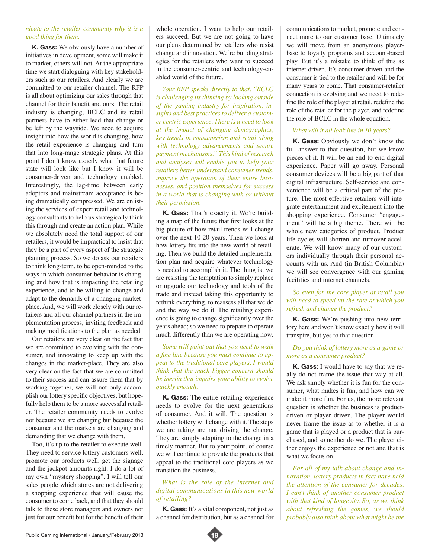### *nicate to the retailer community why it is a good thing for them.*

**K. Gass:** We obviously have a number of initiatives in development, some will make it to market, others will not. At the appropriate time we start dialoguing with key stakeholders such as our retailers. And clearly we are committed to our retailer channel. The RFP is all about optimizing our sales through that channel for their benefit and ours. The retail industry is changing; BCLC and its retail partners have to either lead that change or be left by the wayside. We need to acquire insight into how the world is changing, how the retail experience is changing and turn that into long-range strategic plans. At this point I don't know exactly what that future state will look like but I know it will be consumer-driven and technology enabled. Interestingly, the lag-time between early adopters and mainstream acceptance is being dramatically compressed. We are enlisting the services of expert retail and technology consultants to help us strategically think this through and create an action plan. While we absolutely need the total support of our retailers, it would be impractical to insist that they be a part of every aspect of the strategic planning process. So we do ask our retailers to think long-term, to be open-minded to the ways in which consumer behavior is changing and how that is impacting the retailing experience, and to be willing to change and adapt to the demands of a changing marketplace. And, we will work closely with our retailers and all our channel partners in the implementation process, inviting feedback and making modifications to the plan as needed.

Our retailers are very clear on the fact that we are committed to evolving with the consumer, and innovating to keep up with the changes in the market-place. They are also very clear on the fact that we are committed to their success and can assure them that by working together, we will not only accomplish our lottery specific objectives, but hopefully help them to be a more successful retailer. The retailer community needs to evolve not because we are changing but because the consumer and the markets are changing and demanding that we change with them.

Too, it's up to the retailer to execute well. They need to service lottery customers well, promote our products well, get the signage and the jackpot amounts right. I do a lot of my own "mystery shopping". I will tell our sales people which stores are not delivering a shopping experience that will cause the consumer to come back, and that they should talk to these store managers and owners not just for our benefit but for the benefit of their

whole operation. I want to help our retailers succeed. But we are not going to have our plans determined by retailers who resist change and innovation. We're building strategies for the retailers who want to succeed in the consumer-centric and technology-enabled world of the future.

*Your RFP speaks directly to that. "BCLC is challenging its thinking by looking outside of the gaming industry for inspiration, insights and best practices to deliver a customer centric experience. There is a need to look at the impact of changing demographics, key trends in consumerism and retail along with technology advancements and secure payment mechanisms." This kind of research and analyses will enable you to help your retailers better understand consumer trends, improve the operation of their entire businesses, and position themselves for success in a world that is changing with or without their permission.* 

**K. Gass:** That's exactly it. We're building a map of the future that first looks at the big picture of how retail trends will change over the next 10-20 years. Then we look at how lottery fits into the new world of retailing. Then we build the detailed implementation plan and acquire whatever technology is needed to accomplish it. The thing is, we are resisting the temptation to simply replace or upgrade our technology and tools of the trade and instead taking this opportunity to rethink everything, to reassess all that we do and the way we do it. The retailing experience is going to change significantly over the years ahead; so we need to prepare to operate much differently than we are operating now.

## *Some will point out that you need to walk a fine line because you must continue to appeal to the traditional core players. I would think that the much bigger concern should be inertia that impairs your ability to evolve quickly enough.*

**K. Gass:** The entire retailing experience needs to evolve for the next generations of consumer. And it will. The question is whether lottery will change with it. The steps we are taking are not driving the change. They are simply adapting to the change in a timely manner. But to your point, of course we will continue to provide the products that appeal to the traditional core players as we transition the business.

## *What is the role of the internet and digital communications in this new world of retailing?*

**K. Gass:** It's a vital component, not just as a channel for distribution, but as a channel for communications to market, promote and connect more to our customer base. Ultimately we will move from an anonymous playerbase to loyalty programs and account-based play. But it's a mistake to think of this as internet-driven. It's consumer-driven and the consumer is tied to the retailer and will be for many years to come. That consumer-retailer connection is evolving and we need to redefine the role of the player at retail, redefine the role of the retailer for the player, and redefine the role of BCLC in the whole equation.

### *What will it all look like in 10 years?*

**K. Gass:** Obviously we don't know the full answer to that question, but we know pieces of it. It will be an end-to-end digital experience. Paper will go away. Personal consumer devices will be a big part of that digital infrastructure. Self-service and convenience will be a critical part of the picture. The most effective retailers will integrate entertainment and excitement into the shopping experience. Consumer "engagement" will be a big theme. There will be whole new categories of product. Product life-cycles will shorten and turnover accelerate. We will know many of our customers individually through their personal accounts with us. And (in British Columbia) we will see convergence with our gaming facilities and internet channels.

# *So even for the core player at retail you will need to speed up the rate at which you refresh and change the product?*

**K. Gass:** We're pushing into new territory here and won't know exactly how it will transpire, but yes to that question.

# *Do you think of lottery more as a game or more as a consumer product?*

**K. Gass:** I would have to say that we really do not frame the issue that way at all. We ask simply whether it is fun for the consumer, what makes it fun, and how can we make it more fun. For us, the more relevant question is whether the business is productdriven or player driven. The player would never frame the issue as to whether it is a game that is played or a product that is purchased, and so neither do we. The player either enjoys the experience or not and that is what we focus on.

*For all of my talk about change and innovation, lottery products in fact have held the attention of the consumer for decades. I can't think of another consumer product with that kind of longevity. So, as we think about refreshing the games, we should probably also think about what might be the*